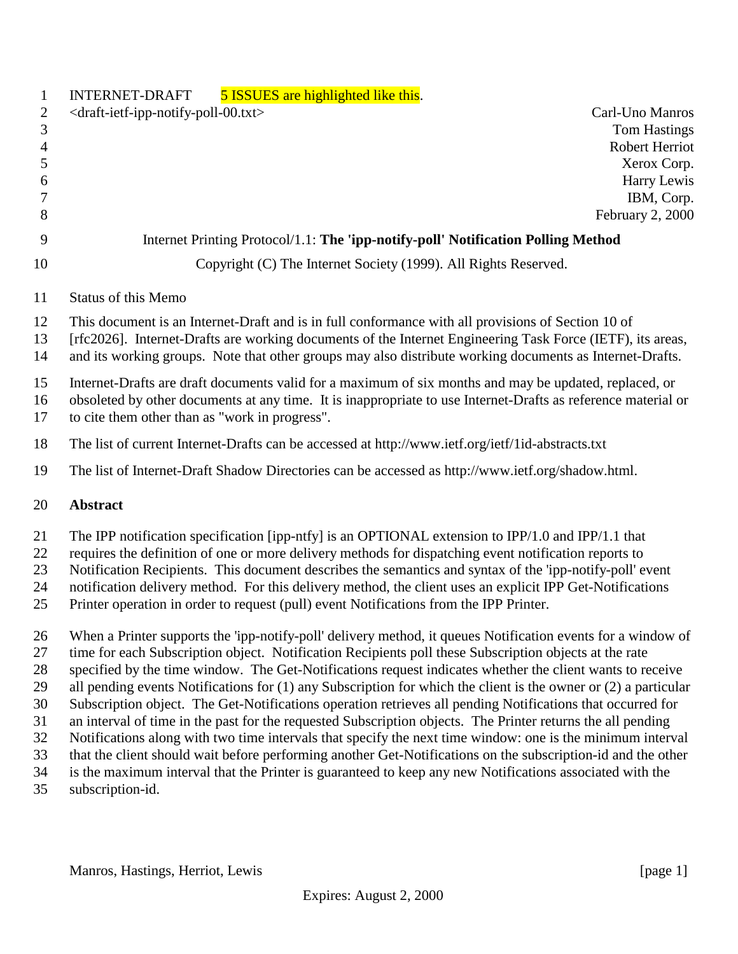| $\mathbf{1}$               | 5 ISSUES are highlighted like this.<br><b>INTERNET-DRAFT</b>                                                                                                                                                                                                                                                                                                                                                                                                                                                                   |
|----------------------------|--------------------------------------------------------------------------------------------------------------------------------------------------------------------------------------------------------------------------------------------------------------------------------------------------------------------------------------------------------------------------------------------------------------------------------------------------------------------------------------------------------------------------------|
| $\overline{c}$<br>3        | <draft-ietf-ipp-notify-poll-00.txt><br/>Carl-Uno Manros<br/><b>Tom Hastings</b><br/>Robert Herriot</draft-ietf-ipp-notify-poll-00.txt>                                                                                                                                                                                                                                                                                                                                                                                         |
| $\overline{4}$<br>5        | Xerox Corp.                                                                                                                                                                                                                                                                                                                                                                                                                                                                                                                    |
| 6                          | Harry Lewis                                                                                                                                                                                                                                                                                                                                                                                                                                                                                                                    |
| 7                          | IBM, Corp.                                                                                                                                                                                                                                                                                                                                                                                                                                                                                                                     |
| 8                          | February 2, 2000                                                                                                                                                                                                                                                                                                                                                                                                                                                                                                               |
| 9                          | Internet Printing Protocol/1.1: The 'ipp-notify-poll' Notification Polling Method                                                                                                                                                                                                                                                                                                                                                                                                                                              |
| 10                         | Copyright (C) The Internet Society (1999). All Rights Reserved.                                                                                                                                                                                                                                                                                                                                                                                                                                                                |
| 11                         | Status of this Memo                                                                                                                                                                                                                                                                                                                                                                                                                                                                                                            |
| 12<br>13<br>14             | This document is an Internet-Draft and is in full conformance with all provisions of Section 10 of<br>[rfc2026]. Internet-Drafts are working documents of the Internet Engineering Task Force (IETF), its areas,<br>and its working groups. Note that other groups may also distribute working documents as Internet-Drafts.                                                                                                                                                                                                   |
| 15<br>16<br>17             | Internet-Drafts are draft documents valid for a maximum of six months and may be updated, replaced, or<br>obsoleted by other documents at any time. It is inappropriate to use Internet-Drafts as reference material or<br>to cite them other than as "work in progress".                                                                                                                                                                                                                                                      |
| 18                         | The list of current Internet-Drafts can be accessed at http://www.ietf.org/ietf/1id-abstracts.txt                                                                                                                                                                                                                                                                                                                                                                                                                              |
| 19                         | The list of Internet-Draft Shadow Directories can be accessed as http://www.ietf.org/shadow.html.                                                                                                                                                                                                                                                                                                                                                                                                                              |
| 20                         | <b>Abstract</b>                                                                                                                                                                                                                                                                                                                                                                                                                                                                                                                |
| 21<br>22<br>23<br>24<br>25 | The IPP notification specification [ipp-ntfy] is an OPTIONAL extension to IPP/1.0 and IPP/1.1 that<br>requires the definition of one or more delivery methods for dispatching event notification reports to<br>Notification Recipients. This document describes the semantics and syntax of the 'ipp-notify-poll' event<br>notification delivery method. For this delivery method, the client uses an explicit IPP Get-Notifications<br>Printer operation in order to request (pull) event Notifications from the IPP Printer. |
| 26<br>27                   | When a Printer supports the 'ipp-notify-poll' delivery method, it queues Notification events for a window of<br>time for each Subscription object. Notification Recipients poll these Subscription objects at the rate                                                                                                                                                                                                                                                                                                         |
| 28<br>29                   | specified by the time window. The Get-Notifications request indicates whether the client wants to receive<br>all pending events Notifications for $(1)$ any Subscription for which the client is the owner or $(2)$ a particular                                                                                                                                                                                                                                                                                               |
| 30                         | Subscription object. The Get-Notifications operation retrieves all pending Notifications that occurred for                                                                                                                                                                                                                                                                                                                                                                                                                     |
| 31                         | an interval of time in the past for the requested Subscription objects. The Printer returns the all pending                                                                                                                                                                                                                                                                                                                                                                                                                    |
| 32                         | Notifications along with two time intervals that specify the next time window: one is the minimum interval                                                                                                                                                                                                                                                                                                                                                                                                                     |
| 33                         | that the client should wait before performing another Get-Notifications on the subscription-id and the other                                                                                                                                                                                                                                                                                                                                                                                                                   |
| 34<br>35                   | is the maximum interval that the Printer is guaranteed to keep any new Notifications associated with the<br>subscription-id.                                                                                                                                                                                                                                                                                                                                                                                                   |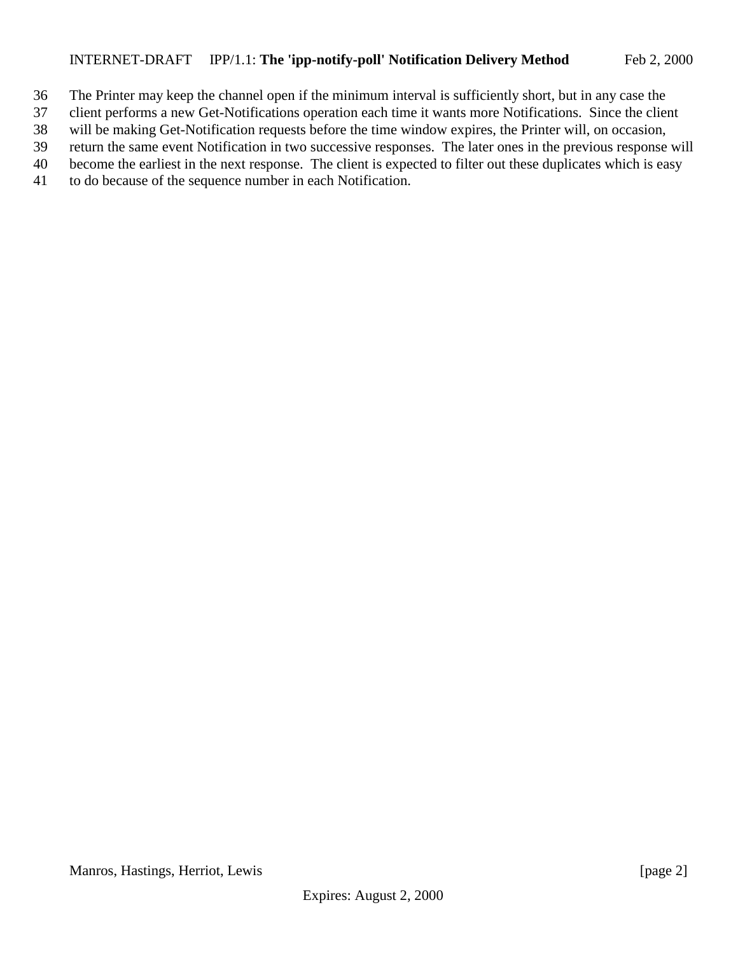#### INTERNET-DRAFT IPP/1.1: **The 'ipp-notify-poll' Notification Delivery Method** Feb 2, 2000

- The Printer may keep the channel open if the minimum interval is sufficiently short, but in any case the
- client performs a new Get-Notifications operation each time it wants more Notifications. Since the client
- will be making Get-Notification requests before the time window expires, the Printer will, on occasion,

return the same event Notification in two successive responses. The later ones in the previous response will

- become the earliest in the next response. The client is expected to filter out these duplicates which is easy
- to do because of the sequence number in each Notification.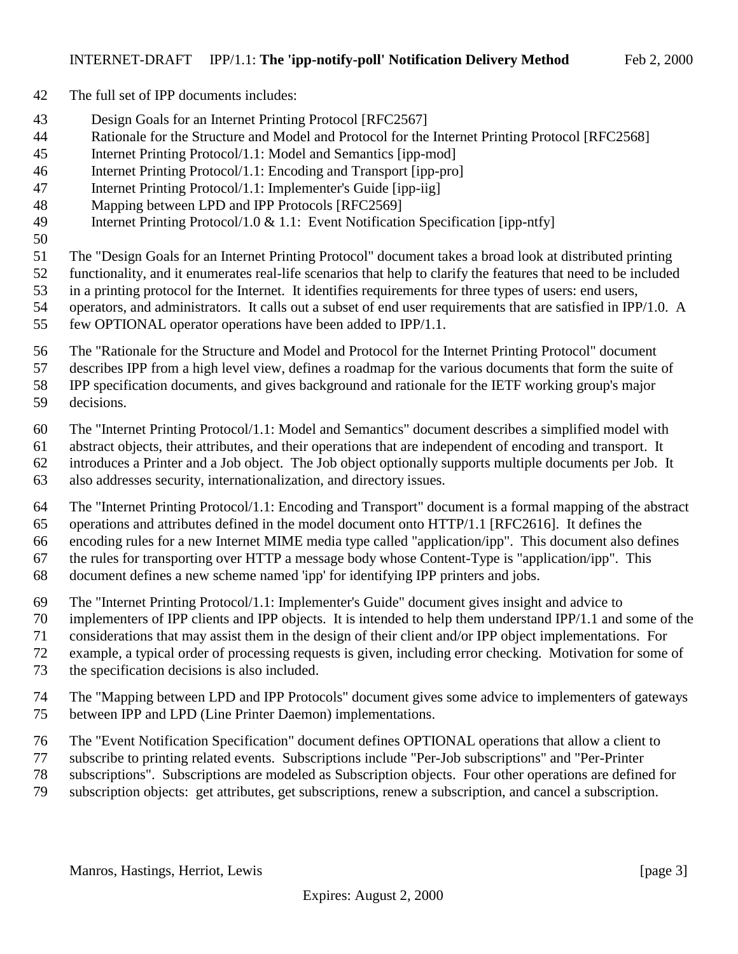- The full set of IPP documents includes:
- Design Goals for an Internet Printing Protocol [RFC2567]
- Rationale for the Structure and Model and Protocol for the Internet Printing Protocol [RFC2568]
- Internet Printing Protocol/1.1: Model and Semantics [ipp-mod]
- Internet Printing Protocol/1.1: Encoding and Transport [ipp-pro]
- Internet Printing Protocol/1.1: Implementer's Guide [ipp-iig]
- Mapping between LPD and IPP Protocols [RFC2569]
- Internet Printing Protocol/1.0 & 1.1: Event Notification Specification [ipp-ntfy]
- 
- The "Design Goals for an Internet Printing Protocol" document takes a broad look at distributed printing
- functionality, and it enumerates real-life scenarios that help to clarify the features that need to be included
- in a printing protocol for the Internet. It identifies requirements for three types of users: end users,
- operators, and administrators. It calls out a subset of end user requirements that are satisfied in IPP/1.0. A
- few OPTIONAL operator operations have been added to IPP/1.1.
- The "Rationale for the Structure and Model and Protocol for the Internet Printing Protocol" document
- describes IPP from a high level view, defines a roadmap for the various documents that form the suite of
- IPP specification documents, and gives background and rationale for the IETF working group's major
- decisions.
- The "Internet Printing Protocol/1.1: Model and Semantics" document describes a simplified model with
- abstract objects, their attributes, and their operations that are independent of encoding and transport. It
- introduces a Printer and a Job object. The Job object optionally supports multiple documents per Job. It
- also addresses security, internationalization, and directory issues.
- The "Internet Printing Protocol/1.1: Encoding and Transport" document is a formal mapping of the abstract operations and attributes defined in the model document onto HTTP/1.1 [RFC2616]. It defines the encoding rules for a new Internet MIME media type called "application/ipp". This document also defines the rules for transporting over HTTP a message body whose Content-Type is "application/ipp". This
- document defines a new scheme named 'ipp' for identifying IPP printers and jobs.
- The "Internet Printing Protocol/1.1: Implementer's Guide" document gives insight and advice to
- implementers of IPP clients and IPP objects. It is intended to help them understand IPP/1.1 and some of the
- considerations that may assist them in the design of their client and/or IPP object implementations. For
- example, a typical order of processing requests is given, including error checking. Motivation for some of
- the specification decisions is also included.
- The "Mapping between LPD and IPP Protocols" document gives some advice to implementers of gateways between IPP and LPD (Line Printer Daemon) implementations.
- The "Event Notification Specification" document defines OPTIONAL operations that allow a client to
- subscribe to printing related events. Subscriptions include "Per-Job subscriptions" and "Per-Printer
- subscriptions". Subscriptions are modeled as Subscription objects. Four other operations are defined for
- subscription objects: get attributes, get subscriptions, renew a subscription, and cancel a subscription.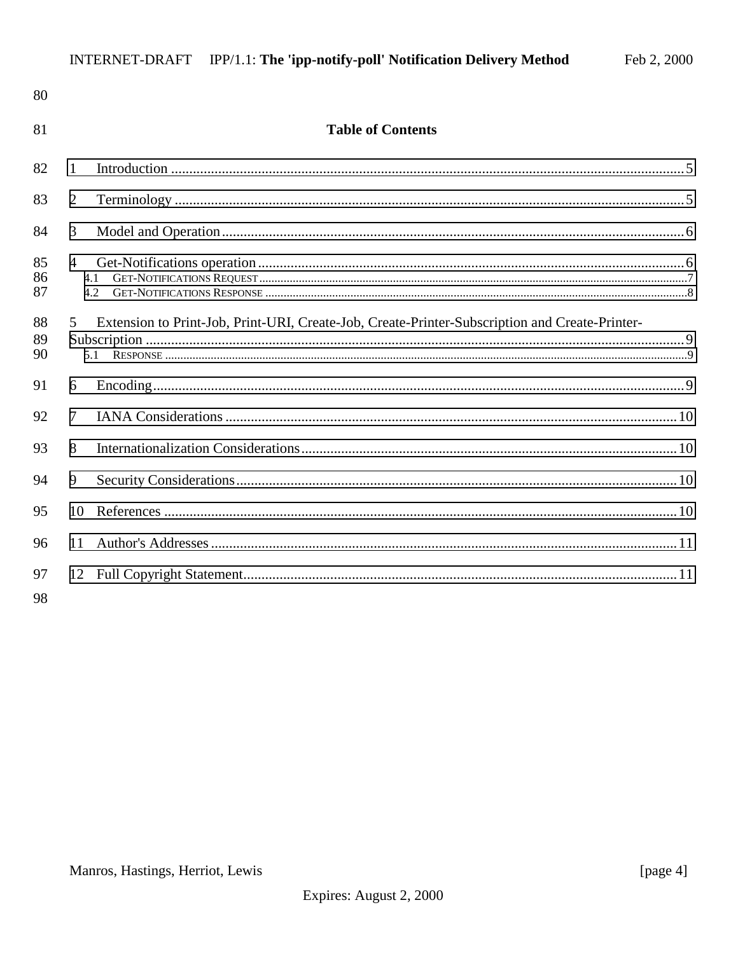| 80             |                |                                                                                                |  |
|----------------|----------------|------------------------------------------------------------------------------------------------|--|
| 81             |                | <b>Table of Contents</b>                                                                       |  |
| 82             | 1              |                                                                                                |  |
| 83             | 2              |                                                                                                |  |
| 84             | 3              |                                                                                                |  |
| 85<br>86<br>87 | $\overline{4}$ | 4.1<br>4.2                                                                                     |  |
| 88<br>89<br>90 | $\mathfrak{S}$ | Extension to Print-Job, Print-URI, Create-Job, Create-Printer-Subscription and Create-Printer- |  |
| 91             | 6              |                                                                                                |  |
| 92             | $\tau$         |                                                                                                |  |
| 93             | 8              |                                                                                                |  |
| 94             | 9              |                                                                                                |  |
| 95             | 10             |                                                                                                |  |
| 96             | 11             |                                                                                                |  |
| 97<br>98       |                |                                                                                                |  |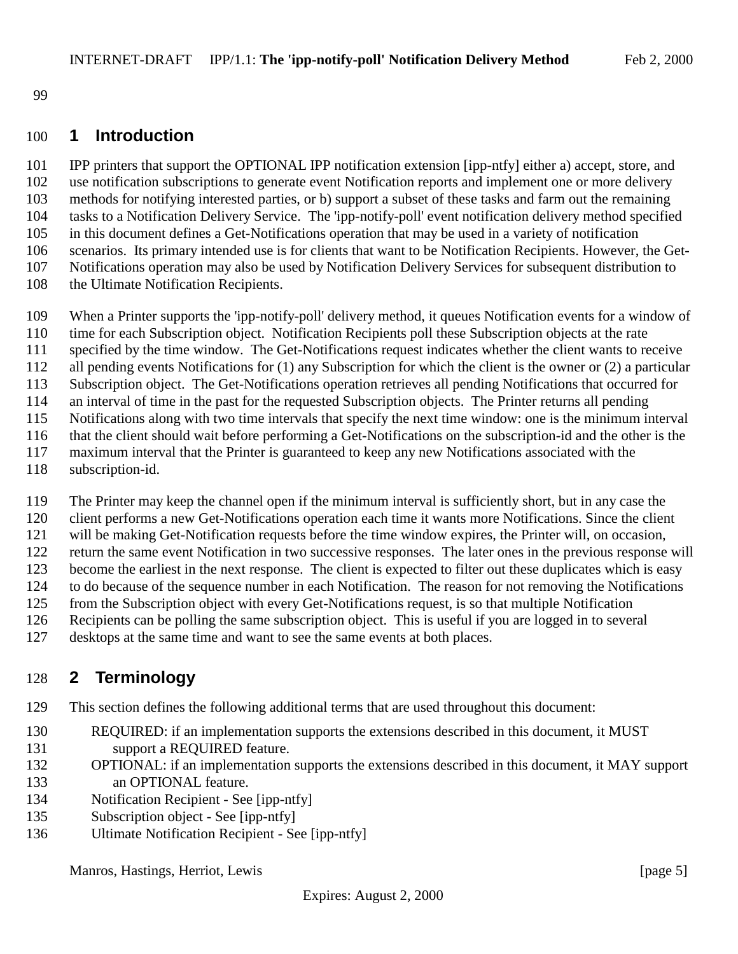<span id="page-4-0"></span>

#### **1 Introduction**

 IPP printers that support the OPTIONAL IPP notification extension [ipp-ntfy] either a) accept, store, and use notification subscriptions to generate event Notification reports and implement one or more delivery methods for notifying interested parties, or b) support a subset of these tasks and farm out the remaining tasks to a Notification Delivery Service. The 'ipp-notify-poll' event notification delivery method specified in this document defines a Get-Notifications operation that may be used in a variety of notification scenarios. Its primary intended use is for clients that want to be Notification Recipients. However, the Get- Notifications operation may also be used by Notification Delivery Services for subsequent distribution to 108 the Ultimate Notification Recipients.

- When a Printer supports the 'ipp-notify-poll' delivery method, it queues Notification events for a window of time for each Subscription object. Notification Recipients poll these Subscription objects at the rate specified by the time window. The Get-Notifications request indicates whether the client wants to receive all pending events Notifications for (1) any Subscription for which the client is the owner or (2) a particular Subscription object. The Get-Notifications operation retrieves all pending Notifications that occurred for an interval of time in the past for the requested Subscription objects. The Printer returns all pending Notifications along with two time intervals that specify the next time window: one is the minimum interval that the client should wait before performing a Get-Notifications on the subscription-id and the other is the maximum interval that the Printer is guaranteed to keep any new Notifications associated with the
- subscription-id.

The Printer may keep the channel open if the minimum interval is sufficiently short, but in any case the

client performs a new Get-Notifications operation each time it wants more Notifications. Since the client

will be making Get-Notification requests before the time window expires, the Printer will, on occasion,

return the same event Notification in two successive responses. The later ones in the previous response will

become the earliest in the next response. The client is expected to filter out these duplicates which is easy

 to do because of the sequence number in each Notification. The reason for not removing the Notifications from the Subscription object with every Get-Notifications request, is so that multiple Notification

- Recipients can be polling the same subscription object. This is useful if you are logged in to several
- 

desktops at the same time and want to see the same events at both places.

# **2 Terminology**

This section defines the following additional terms that are used throughout this document:

- REQUIRED: if an implementation supports the extensions described in this document, it MUST 131 support a REQUIRED feature.
- OPTIONAL: if an implementation supports the extensions described in this document, it MAY support an OPTIONAL feature.
- Notification Recipient See [ipp-ntfy]
- Subscription object See [ipp-ntfy]
- Ultimate Notification Recipient See [ipp-ntfy]

Manros, Hastings, Herriot, Lewis [page 5]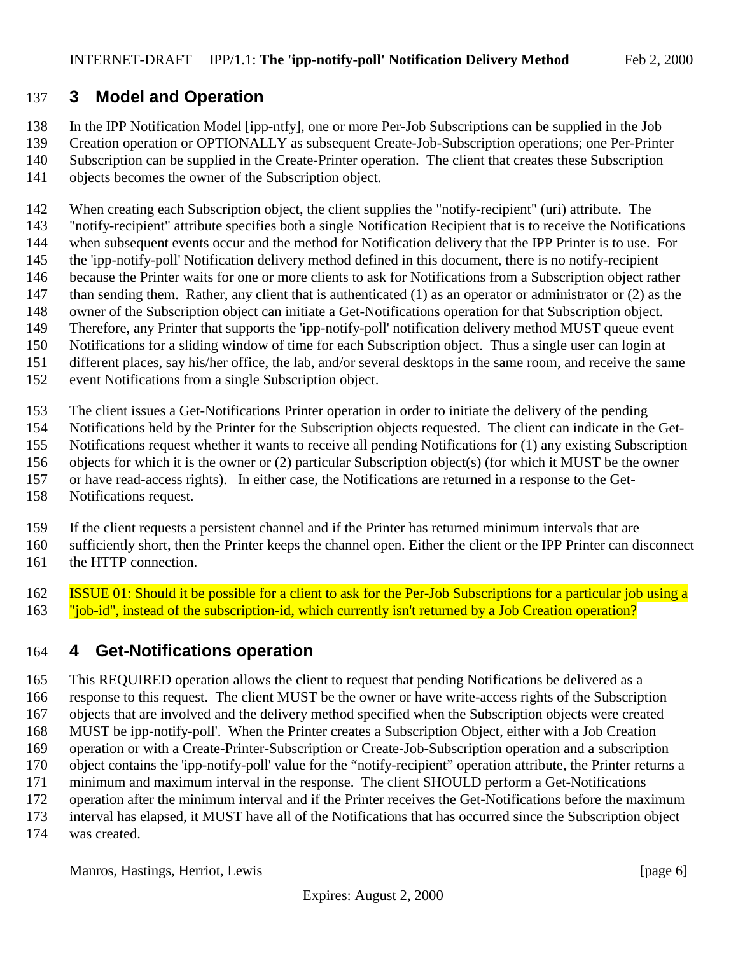### <span id="page-5-0"></span>**3 Model and Operation**

In the IPP Notification Model [ipp-ntfy], one or more Per-Job Subscriptions can be supplied in the Job

- Creation operation or OPTIONALLY as subsequent Create-Job-Subscription operations; one Per-Printer Subscription can be supplied in the Create-Printer operation. The client that creates these Subscription
- 
- objects becomes the owner of the Subscription object.

When creating each Subscription object, the client supplies the "notify-recipient" (uri) attribute. The

- "notify-recipient" attribute specifies both a single Notification Recipient that is to receive the Notifications
- when subsequent events occur and the method for Notification delivery that the IPP Printer is to use. For the 'ipp-notify-poll' Notification delivery method defined in this document, there is no notify-recipient
- because the Printer waits for one or more clients to ask for Notifications from a Subscription object rather
- 147 than sending them. Rather, any client that is authenticated (1) as an operator or administrator or (2) as the
- owner of the Subscription object can initiate a Get-Notifications operation for that Subscription object.
- Therefore, any Printer that supports the 'ipp-notify-poll' notification delivery method MUST queue event
- Notifications for a sliding window of time for each Subscription object. Thus a single user can login at
- different places, say his/her office, the lab, and/or several desktops in the same room, and receive the same
- event Notifications from a single Subscription object.
- The client issues a Get-Notifications Printer operation in order to initiate the delivery of the pending
- Notifications held by the Printer for the Subscription objects requested. The client can indicate in the Get-
- Notifications request whether it wants to receive all pending Notifications for (1) any existing Subscription
- objects for which it is the owner or (2) particular Subscription object(s) (for which it MUST be the owner
- or have read-access rights). In either case, the Notifications are returned in a response to the Get-
- Notifications request.
- If the client requests a persistent channel and if the Printer has returned minimum intervals that are
- sufficiently short, then the Printer keeps the channel open. Either the client or the IPP Printer can disconnect the HTTP connection.
- ISSUE 01: Should it be possible for a client to ask for the Per-Job Subscriptions for a particular job using a 163 "job-id", instead of the subscription-id, which currently isn't returned by a Job Creation operation?

# **4 Get-Notifications operation**

 This REQUIRED operation allows the client to request that pending Notifications be delivered as a response to this request. The client MUST be the owner or have write-access rights of the Subscription objects that are involved and the delivery method specified when the Subscription objects were created MUST be ipp-notify-poll'. When the Printer creates a Subscription Object, either with a Job Creation operation or with a Create-Printer-Subscription or Create-Job-Subscription operation and a subscription object contains the 'ipp-notify-poll' value for the "notify-recipient" operation attribute, the Printer returns a minimum and maximum interval in the response. The client SHOULD perform a Get-Notifications operation after the minimum interval and if the Printer receives the Get-Notifications before the maximum interval has elapsed, it MUST have all of the Notifications that has occurred since the Subscription object

was created.

Manros, Hastings, Herriot, Lewis [page 6]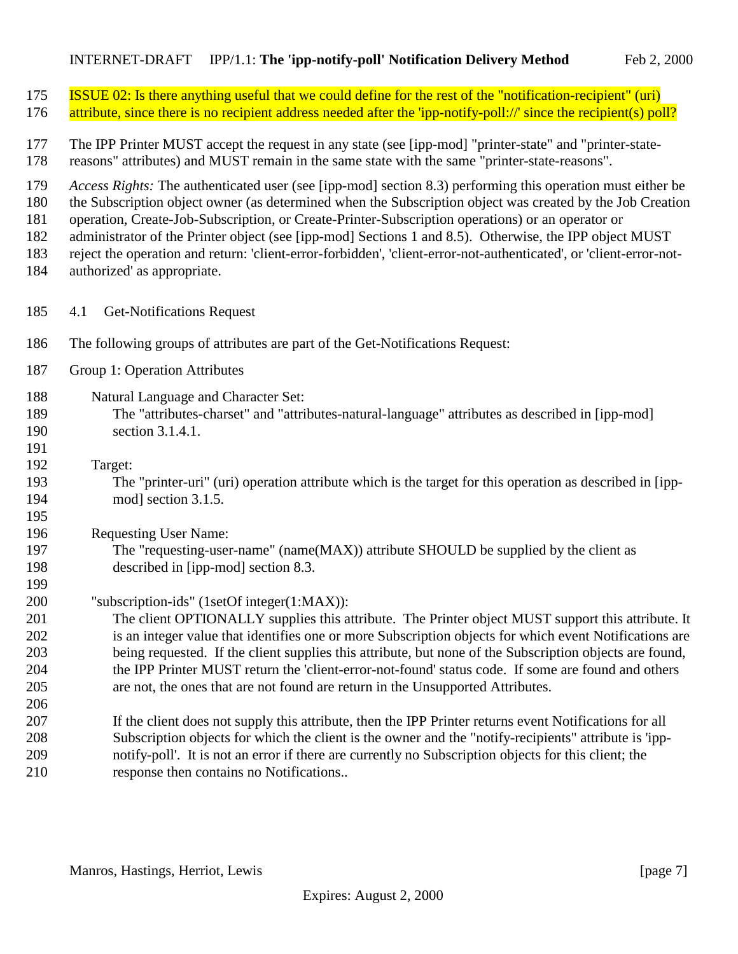<span id="page-6-0"></span>

| 175<br>176                             | <b>ISSUE 02:</b> Is there anything useful that we could define for the rest of the "notification-recipient" (uri)<br>attribute, since there is no recipient address needed after the 'ipp-notify-poll://' since the recipient(s) poll?                                                                                                                                                                                                                                                                                                                                                     |
|----------------------------------------|--------------------------------------------------------------------------------------------------------------------------------------------------------------------------------------------------------------------------------------------------------------------------------------------------------------------------------------------------------------------------------------------------------------------------------------------------------------------------------------------------------------------------------------------------------------------------------------------|
| 177<br>178                             | The IPP Printer MUST accept the request in any state (see [ipp-mod] "printer-state" and "printer-state-<br>reasons" attributes) and MUST remain in the same state with the same "printer-state-reasons".                                                                                                                                                                                                                                                                                                                                                                                   |
| 179<br>180<br>181<br>182<br>183<br>184 | Access Rights: The authenticated user (see [ipp-mod] section 8.3) performing this operation must either be<br>the Subscription object owner (as determined when the Subscription object was created by the Job Creation<br>operation, Create-Job-Subscription, or Create-Printer-Subscription operations) or an operator or<br>administrator of the Printer object (see [ipp-mod] Sections 1 and 8.5). Otherwise, the IPP object MUST<br>reject the operation and return: 'client-error-forbidden', 'client-error-not-authenticated', or 'client-error-not-<br>authorized' as appropriate. |
| 185                                    | <b>Get-Notifications Request</b><br>4.1                                                                                                                                                                                                                                                                                                                                                                                                                                                                                                                                                    |
| 186                                    | The following groups of attributes are part of the Get-Notifications Request:                                                                                                                                                                                                                                                                                                                                                                                                                                                                                                              |
| 187                                    | Group 1: Operation Attributes                                                                                                                                                                                                                                                                                                                                                                                                                                                                                                                                                              |
| 188<br>189<br>190<br>191               | Natural Language and Character Set:<br>The "attributes-charset" and "attributes-natural-language" attributes as described in [ipp-mod]<br>section 3.1.4.1.                                                                                                                                                                                                                                                                                                                                                                                                                                 |
| 192<br>193<br>194<br>195               | Target:<br>The "printer-uri" (uri) operation attribute which is the target for this operation as described in [ipp-<br>mod] section 3.1.5.                                                                                                                                                                                                                                                                                                                                                                                                                                                 |
| 196<br>197<br>198<br>199               | <b>Requesting User Name:</b><br>The "requesting-user-name" (name(MAX)) attribute SHOULD be supplied by the client as<br>described in [ipp-mod] section 8.3.                                                                                                                                                                                                                                                                                                                                                                                                                                |
| 200<br>201<br>202<br>203<br>204<br>205 | "subscription-ids" (1setOf integer(1:MAX)):<br>The client OPTIONALLY supplies this attribute. The Printer object MUST support this attribute. It<br>is an integer value that identifies one or more Subscription objects for which event Notifications are<br>being requested. If the client supplies this attribute, but none of the Subscription objects are found,<br>the IPP Printer MUST return the 'client-error-not-found' status code. If some are found and others<br>are not, the ones that are not found are return in the Unsupported Attributes.                              |
| 206<br>207<br>208<br>209<br>210        | If the client does not supply this attribute, then the IPP Printer returns event Notifications for all<br>Subscription objects for which the client is the owner and the "notify-recipients" attribute is 'ipp-<br>notify-poll'. It is not an error if there are currently no Subscription objects for this client; the<br>response then contains no Notifications                                                                                                                                                                                                                         |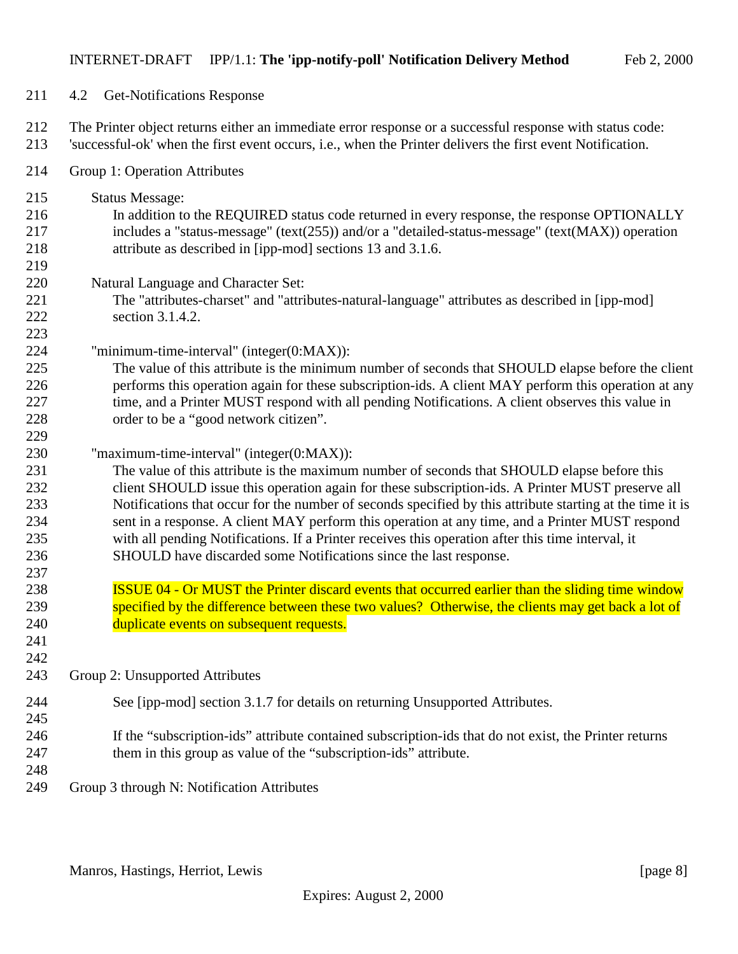- <span id="page-7-0"></span>4.2 Get-Notifications Response
- The Printer object returns either an immediate error response or a successful response with status code:
- 'successful-ok' when the first event occurs, i.e., when the Printer delivers the first event Notification.
- Group 1: Operation Attributes
- Status Message: In addition to the REQUIRED status code returned in every response, the response OPTIONALLY includes a "status-message" (text(255)) and/or a "detailed-status-message" (text(MAX)) operation attribute as described in [ipp-mod] sections 13 and 3.1.6. Natural Language and Character Set: The "attributes-charset" and "attributes-natural-language" attributes as described in [ipp-mod] section 3.1.4.2. "minimum-time-interval" (integer(0:MAX)): The value of this attribute is the minimum number of seconds that SHOULD elapse before the client performs this operation again for these subscription-ids. A client MAY perform this operation at any 227 time, and a Printer MUST respond with all pending Notifications. A client observes this value in order to be a "good network citizen". "maximum-time-interval" (integer(0:MAX)): The value of this attribute is the maximum number of seconds that SHOULD elapse before this client SHOULD issue this operation again for these subscription-ids. A Printer MUST preserve all Notifications that occur for the number of seconds specified by this attribute starting at the time it is sent in a response. A client MAY perform this operation at any time, and a Printer MUST respond with all pending Notifications. If a Printer receives this operation after this time interval, it SHOULD have discarded some Notifications since the last response.
- **ISSUE 04 Or MUST the Printer discard events that occurred earlier than the sliding time window**  specified by the difference between these two values? Otherwise, the clients may get back a lot of 240 duplicate events on subsequent requests.
- Group 2: Unsupported Attributes
- See [ipp-mod] section 3.1.7 for details on returning Unsupported Attributes.
- If the "subscription-ids" attribute contained subscription-ids that do not exist, the Printer returns them in this group as value of the "subscription-ids" attribute.
- 

 

Group 3 through N: Notification Attributes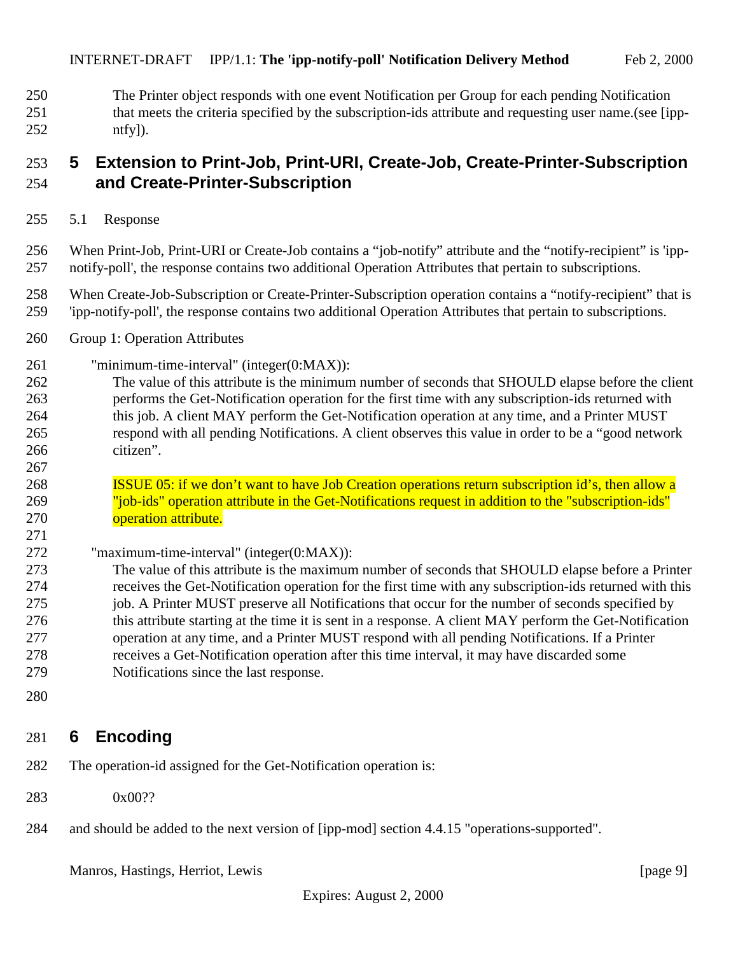<span id="page-8-0"></span> The Printer object responds with one event Notification per Group for each pending Notification 251 that meets the criteria specified by the subscription-ids attribute and requesting user name.(see [ipp-ntfy]).

### **5 Extension to Print-Job, Print-URI, Create-Job, Create-Printer-Subscription and Create-Printer-Subscription**

5.1 Response

 When Print-Job, Print-URI or Create-Job contains a "job-notify" attribute and the "notify-recipient" is 'ipp-notify-poll', the response contains two additional Operation Attributes that pertain to subscriptions.

- When Create-Job-Subscription or Create-Printer-Subscription operation contains a "notify-recipient" that is 'ipp-notify-poll', the response contains two additional Operation Attributes that pertain to subscriptions.
- Group 1: Operation Attributes
- "minimum-time-interval" (integer(0:MAX)):
- The value of this attribute is the minimum number of seconds that SHOULD elapse before the client performs the Get-Notification operation for the first time with any subscription-ids returned with 264 this job. A client MAY perform the Get-Notification operation at any time, and a Printer MUST respond with all pending Notifications. A client observes this value in order to be a "good network citizen".
- ISSUE 05: if we don't want to have Job Creation operations return subscription id's, then allow a "job-ids" operation attribute in the Get-Notifications request in addition to the "subscription-ids" **operation attribute.**
- "maximum-time-interval" (integer(0:MAX)):
- The value of this attribute is the maximum number of seconds that SHOULD elapse before a Printer receives the Get-Notification operation for the first time with any subscription-ids returned with this job. A Printer MUST preserve all Notifications that occur for the number of seconds specified by 276 this attribute starting at the time it is sent in a response. A client MAY perform the Get-Notification operation at any time, and a Printer MUST respond with all pending Notifications. If a Printer receives a Get-Notification operation after this time interval, it may have discarded some Notifications since the last response.
- 

# **6 Encoding**

- The operation-id assigned for the Get-Notification operation is:
- 283 0x00??
- and should be added to the next version of [ipp-mod] section 4.4.15 "operations-supported".

Manros, Hastings, Herriot, Lewis [page 9]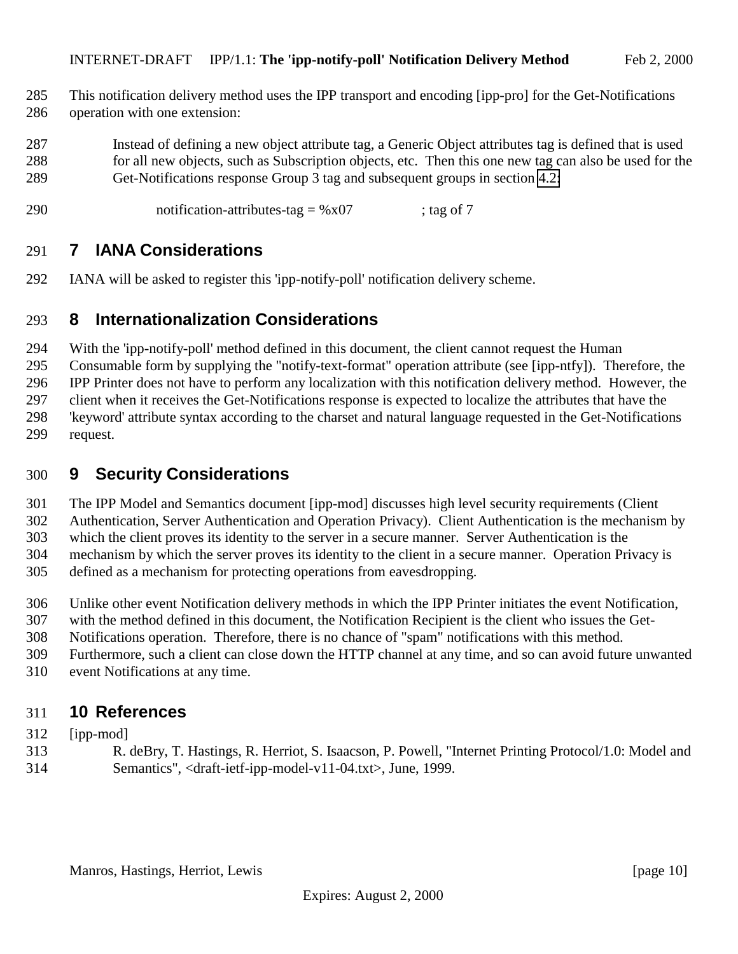- <span id="page-9-0"></span> This notification delivery method uses the IPP transport and encoding [ipp-pro] for the Get-Notifications operation with one extension:
- Instead of defining a new object attribute tag, a Generic Object attributes tag is defined that is used for all new objects, such as Subscription objects, etc. Then this one new tag can also be used for the Get-Notifications response Group 3 tag and subsequent groups in section [4.2:](#page-7-0)
- 290 notification-attributes-tag =  $\%x07$  ; tag of 7

### **7 IANA Considerations**

IANA will be asked to register this 'ipp-notify-poll' notification delivery scheme.

#### **8 Internationalization Considerations**

With the 'ipp-notify-poll' method defined in this document, the client cannot request the Human

Consumable form by supplying the "notify-text-format" operation attribute (see [ipp-ntfy]). Therefore, the

IPP Printer does not have to perform any localization with this notification delivery method. However, the

client when it receives the Get-Notifications response is expected to localize the attributes that have the

 'keyword' attribute syntax according to the charset and natural language requested in the Get-Notifications request.

#### **9 Security Considerations**

The IPP Model and Semantics document [ipp-mod] discusses high level security requirements (Client

Authentication, Server Authentication and Operation Privacy). Client Authentication is the mechanism by

which the client proves its identity to the server in a secure manner. Server Authentication is the

mechanism by which the server proves its identity to the client in a secure manner. Operation Privacy is

defined as a mechanism for protecting operations from eavesdropping.

Unlike other event Notification delivery methods in which the IPP Printer initiates the event Notification,

with the method defined in this document, the Notification Recipient is the client who issues the Get-

Notifications operation. Therefore, there is no chance of "spam" notifications with this method.

Furthermore, such a client can close down the HTTP channel at any time, and so can avoid future unwanted

event Notifications at any time.

# **10 References**

### [ipp-mod]

 R. deBry, T. Hastings, R. Herriot, S. Isaacson, P. Powell, "Internet Printing Protocol/1.0: Model and Semantics", <draft-ietf-ipp-model-v11-04.txt>, June, 1999.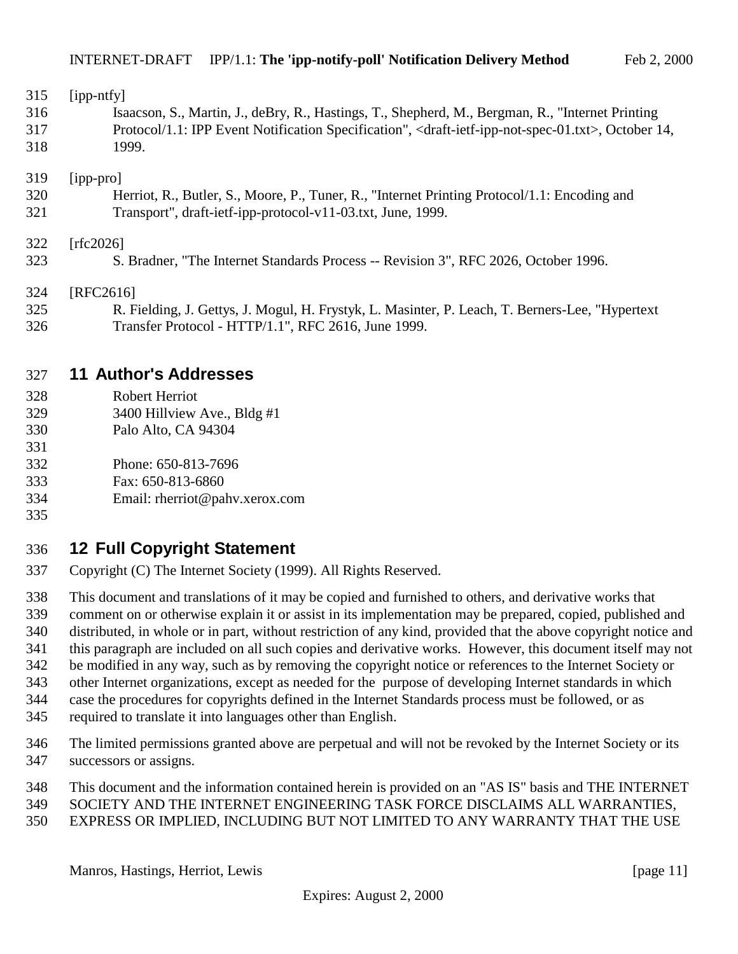<span id="page-10-0"></span>

| 315        | $[$ ipp-ntfy $]$                                                                                                                    |
|------------|-------------------------------------------------------------------------------------------------------------------------------------|
| 316        | Isaacson, S., Martin, J., deBry, R., Hastings, T., Shepherd, M., Bergman, R., "Internet Printing                                    |
| 317        | Protocol/1.1: IPP Event Notification Specification", <draft-ietf-ipp-not-spec-01.txt>, October 14,</draft-ietf-ipp-not-spec-01.txt> |
| 318        | 1999.                                                                                                                               |
| 319        | $[$ ipp-pro $]$                                                                                                                     |
| 320        | Herriot, R., Butler, S., Moore, P., Tuner, R., "Internet Printing Protocol/1.1: Encoding and                                        |
| 321        | Transport", draft-ietf-ipp-protocol-v11-03.txt, June, 1999.                                                                         |
| 322<br>323 | [rfc2026]<br>S. Bradner, "The Internet Standards Process -- Revision 3", RFC 2026, October 1996.                                    |

[RFC2616]

 R. Fielding, J. Gettys, J. Mogul, H. Frystyk, L. Masinter, P. Leach, T. Berners-Lee, "Hypertext Transfer Protocol - HTTP/1.1", RFC 2616, June 1999.

#### **11 Author's Addresses**

- Robert Herriot
- 329 3400 Hillview Ave., Bldg #1
- 330 Palo Alto, CA 94304
- 332 Phone: 650-813-7696
- 333 Fax: 650-813-6860
- 334 Email: rherriot@pahv.xerox.com
- 

### **12 Full Copyright Statement**

- Copyright (C) The Internet Society (1999). All Rights Reserved.
- This document and translations of it may be copied and furnished to others, and derivative works that
- comment on or otherwise explain it or assist in its implementation may be prepared, copied, published and
- distributed, in whole or in part, without restriction of any kind, provided that the above copyright notice and
- this paragraph are included on all such copies and derivative works. However, this document itself may not
- be modified in any way, such as by removing the copyright notice or references to the Internet Society or
- other Internet organizations, except as needed for the purpose of developing Internet standards in which
- case the procedures for copyrights defined in the Internet Standards process must be followed, or as
- required to translate it into languages other than English.
- The limited permissions granted above are perpetual and will not be revoked by the Internet Society or its successors or assigns.
- This document and the information contained herein is provided on an "AS IS" basis and THE INTERNET
- SOCIETY AND THE INTERNET ENGINEERING TASK FORCE DISCLAIMS ALL WARRANTIES,
- EXPRESS OR IMPLIED, INCLUDING BUT NOT LIMITED TO ANY WARRANTY THAT THE USE